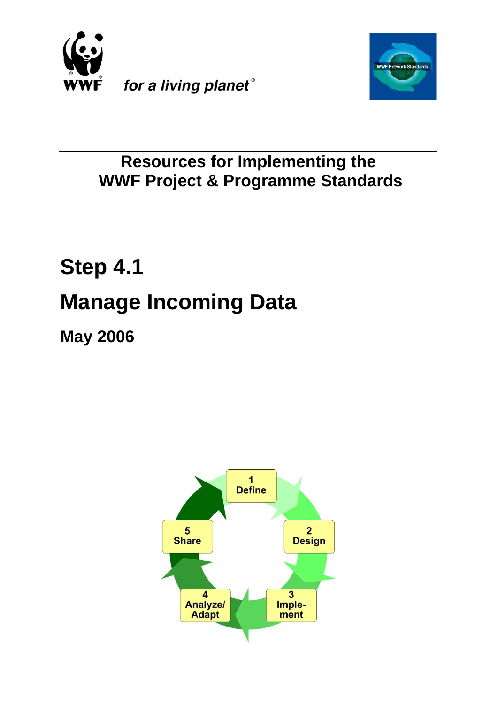



# **Resources for Implementing the WWF Project & Programme Standards**

# **Step 4.1 Manage Incoming Data**

**May 2006**

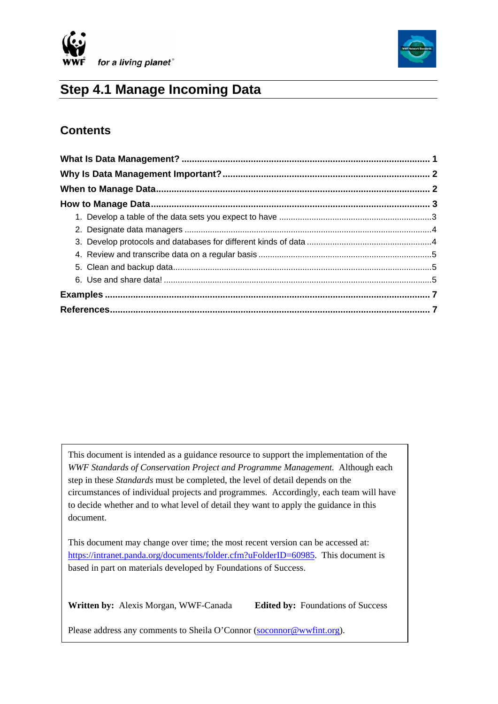



# **Step 4.1 Manage Incoming Data**

# **Contents**

This document is intended as a guidance resource to support the implementation of the *WWF Standards of Conservation Project and Programme Management.* Although each step in these *Standards* must be completed, the level of detail depends on the circumstances of individual projects and programmes. Accordingly, each team will have to decide whether and to what level of detail they want to apply the guidance in this document.

This document may change over time; the most recent version can be accessed at: <https://intranet.panda.org/documents/folder.cfm?uFolderID=60985>. This document is based in part on materials developed by Foundations of Success.

**Written by:** Alexis Morgan, WWF-Canada **Edited by:** Foundations of Success

 $\overline{\phantom{a}}$ 

Please address any comments to Sheila O'Connor [\(soconnor@wwfint.org](mailto:soconnor@wwfint.org)).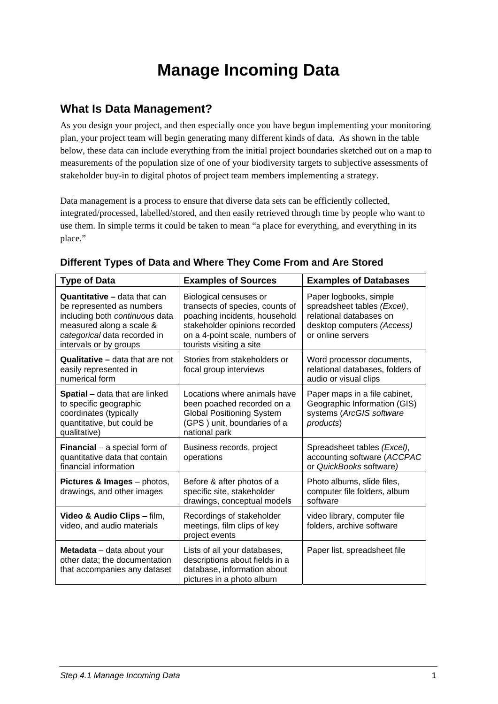# **Manage Incoming Data**

#### <span id="page-2-0"></span>**What Is Data Management?**

As you design your project, and then especially once you have begun implementing your monitoring plan, your project team will begin generating many different kinds of data. As shown in the table below, these data can include everything from the initial project boundaries sketched out on a map to measurements of the population size of one of your biodiversity targets to subjective assessments of stakeholder buy-in to digital photos of project team members implementing a strategy.

Data management is a process to ensure that diverse data sets can be efficiently collected, integrated/processed, labelled/stored, and then easily retrieved through time by people who want to use them. In simple terms it could be taken to mean "a place for everything, and everything in its place."

| <b>Type of Data</b>                                                                                                                                                                      | <b>Examples of Sources</b>                                                                                                                                                                | <b>Examples of Databases</b>                                                                                                        |  |
|------------------------------------------------------------------------------------------------------------------------------------------------------------------------------------------|-------------------------------------------------------------------------------------------------------------------------------------------------------------------------------------------|-------------------------------------------------------------------------------------------------------------------------------------|--|
| <b>Quantitative - data that can</b><br>be represented as numbers<br>including both continuous data<br>measured along a scale &<br>categorical data recorded in<br>intervals or by groups | Biological censuses or<br>transects of species, counts of<br>poaching incidents, household<br>stakeholder opinions recorded<br>on a 4-point scale, numbers of<br>tourists visiting a site | Paper logbooks, simple<br>spreadsheet tables (Excel),<br>relational databases on<br>desktop computers (Access)<br>or online servers |  |
| <b>Qualitative - data that are not</b><br>easily represented in<br>numerical form                                                                                                        | Stories from stakeholders or<br>focal group interviews                                                                                                                                    | Word processor documents,<br>relational databases, folders of<br>audio or visual clips                                              |  |
| <b>Spatial</b> – data that are linked<br>to specific geographic<br>coordinates (typically<br>quantitative, but could be<br>qualitative)                                                  | Locations where animals have<br>been poached recorded on a<br><b>Global Positioning System</b><br>(GPS) unit, boundaries of a<br>national park                                            | Paper maps in a file cabinet,<br>Geographic Information (GIS)<br>systems (ArcGIS software<br>products)                              |  |
| <b>Financial</b> $-$ a special form of<br>quantitative data that contain<br>financial information                                                                                        | Business records, project<br>operations                                                                                                                                                   | Spreadsheet tables (Excel),<br>accounting software (ACCPAC<br>or QuickBooks software)                                               |  |
| Pictures & Images - photos,<br>drawings, and other images                                                                                                                                | Before & after photos of a<br>specific site, stakeholder<br>drawings, conceptual models                                                                                                   | Photo albums, slide files,<br>computer file folders, album<br>software                                                              |  |
| Video & Audio Clips - film,<br>video, and audio materials                                                                                                                                | Recordings of stakeholder<br>meetings, film clips of key<br>project events                                                                                                                | video library, computer file<br>folders, archive software                                                                           |  |
| Metadata - data about your<br>other data; the documentation<br>that accompanies any dataset                                                                                              | Lists of all your databases,<br>descriptions about fields in a<br>database, information about<br>pictures in a photo album                                                                | Paper list, spreadsheet file                                                                                                        |  |

#### **Different Types of Data and Where They Come From and Are Stored**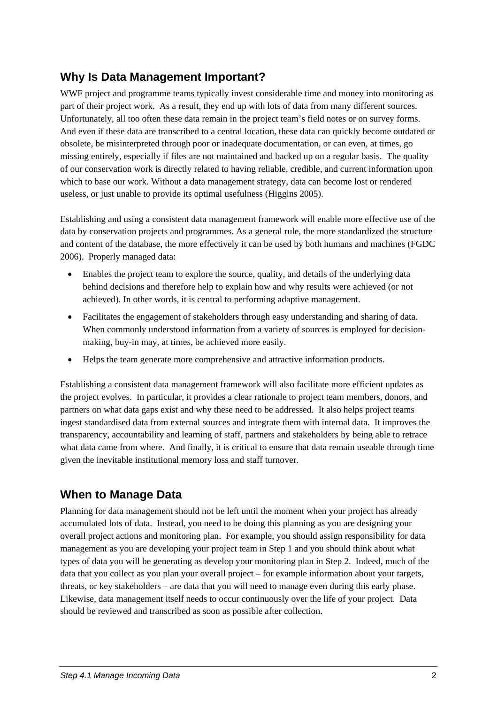# <span id="page-3-0"></span>**Why Is Data Management Important?**

WWF project and programme teams typically invest considerable time and money into monitoring as part of their project work. As a result, they end up with lots of data from many different sources. Unfortunately, all too often these data remain in the project team's field notes or on survey forms. And even if these data are transcribed to a central location, these data can quickly become outdated or obsolete, be misinterpreted through poor or inadequate documentation, or can even, at times, go missing entirely, especially if files are not maintained and backed up on a regular basis. The quality of our conservation work is directly related to having reliable, credible, and current information upon which to base our work. Without a data management strategy, data can become lost or rendered useless, or just unable to provide its optimal usefulness (Higgins 2005).

Establishing and using a consistent data management framework will enable more effective use of the data by conservation projects and programmes. As a general rule, the more standardized the structure and content of the database, the more effectively it can be used by both humans and machines (FGDC 2006). Properly managed data:

- Enables the project team to explore the source, quality, and details of the underlying data behind decisions and therefore help to explain how and why results were achieved (or not achieved). In other words, it is central to performing adaptive management.
- Facilitates the engagement of stakeholders through easy understanding and sharing of data. When commonly understood information from a variety of sources is employed for decisionmaking, buy-in may, at times, be achieved more easily.
- Helps the team generate more comprehensive and attractive information products.

Establishing a consistent data management framework will also facilitate more efficient updates as the project evolves. In particular, it provides a clear rationale to project team members, donors, and partners on what data gaps exist and why these need to be addressed. It also helps project teams ingest standardised data from external sources and integrate them with internal data. It improves the transparency, accountability and learning of staff, partners and stakeholders by being able to retrace what data came from where. And finally, it is critical to ensure that data remain useable through time given the inevitable institutional memory loss and staff turnover.

## **When to Manage Data**

Planning for data management should not be left until the moment when your project has already accumulated lots of data. Instead, you need to be doing this planning as you are designing your overall project actions and monitoring plan. For example, you should assign responsibility for data management as you are developing your project team in Step 1 and you should think about what types of data you will be generating as develop your monitoring plan in Step 2. Indeed, much of the data that you collect as you plan your overall project – for example information about your targets, threats, or key stakeholders – are data that you will need to manage even during this early phase. Likewise, data management itself needs to occur continuously over the life of your project. Data should be reviewed and transcribed as soon as possible after collection.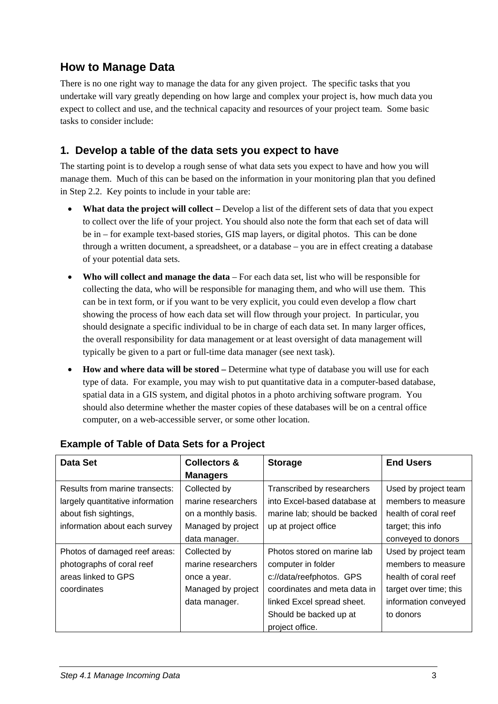## <span id="page-4-0"></span>**How to Manage Data**

There is no one right way to manage the data for any given project. The specific tasks that you undertake will vary greatly depending on how large and complex your project is, how much data you expect to collect and use, and the technical capacity and resources of your project team. Some basic tasks to consider include:

#### **1. Develop a table of the data sets you expect to have**

The starting point is to develop a rough sense of what data sets you expect to have and how you will manage them. Much of this can be based on the information in your monitoring plan that you defined in Step 2.2. Key points to include in your table are:

- **What data the project will collect** Develop a list of the different sets of data that you expect to collect over the life of your project. You should also note the form that each set of data will be in – for example text-based stories, GIS map layers, or digital photos. This can be done through a written document, a spreadsheet, or a database – you are in effect creating a database of your potential data sets.
- **Who will collect and manage the data** For each data set, list who will be responsible for collecting the data, who will be responsible for managing them, and who will use them. This can be in text form, or if you want to be very explicit, you could even develop a flow chart showing the process of how each data set will flow through your project. In particular, you should designate a specific individual to be in charge of each data set. In many larger offices, the overall responsibility for data management or at least oversight of data management will typically be given to a part or full-time data manager (see next task).
- **How and where data will be stored** Determine what type of database you will use for each type of data. For example, you may wish to put quantitative data in a computer-based database, spatial data in a GIS system, and digital photos in a photo archiving software program. You should also determine whether the master copies of these databases will be on a central office computer, on a web-accessible server, or some other location.

| <b>Data Set</b>                  | <b>Collectors &amp;</b> | <b>Storage</b>               | <b>End Users</b>       |
|----------------------------------|-------------------------|------------------------------|------------------------|
|                                  | <b>Managers</b>         |                              |                        |
| Results from marine transects:   | Collected by            | Transcribed by researchers   | Used by project team   |
| largely quantitative information | marine researchers      | into Excel-based database at | members to measure     |
| about fish sightings,            | on a monthly basis.     | marine lab; should be backed | health of coral reef   |
| information about each survey    | Managed by project      | up at project office         | target; this info      |
|                                  | data manager.           |                              | conveyed to donors     |
| Photos of damaged reef areas:    | Collected by            | Photos stored on marine lab  | Used by project team   |
| photographs of coral reef        | marine researchers      | computer in folder           | members to measure     |
| areas linked to GPS              | once a year.            | c://data/reefphotos. GPS     | health of coral reef   |
| coordinates                      | Managed by project      | coordinates and meta data in | target over time; this |
|                                  | data manager.           | linked Excel spread sheet.   | information conveyed   |
|                                  |                         | Should be backed up at       | to donors              |
|                                  |                         | project office.              |                        |

#### **Example of Table of Data Sets for a Project**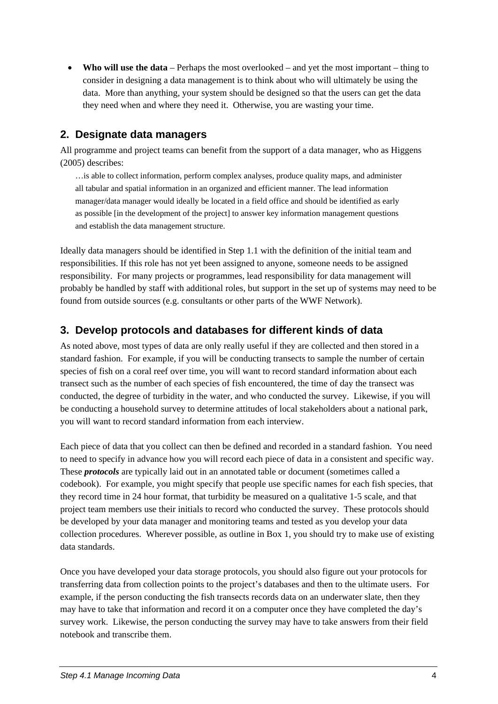<span id="page-5-0"></span>• **Who will use the data** – Perhaps the most overlooked – and yet the most important – thing to consider in designing a data management is to think about who will ultimately be using the data. More than anything, your system should be designed so that the users can get the data they need when and where they need it. Otherwise, you are wasting your time.

#### **2. Designate data managers**

All programme and project teams can benefit from the support of a data manager, who as Higgens (2005) describes:

…is able to collect information, perform complex analyses, produce quality maps, and administer all tabular and spatial information in an organized and efficient manner. The lead information manager/data manager would ideally be located in a field office and should be identified as early as possible [in the development of the project] to answer key information management questions and establish the data management structure.

Ideally data managers should be identified in Step 1.1 with the definition of the initial team and responsibilities. If this role has not yet been assigned to anyone, someone needs to be assigned responsibility. For many projects or programmes, lead responsibility for data management will probably be handled by staff with additional roles, but support in the set up of systems may need to be found from outside sources (e.g. consultants or other parts of the WWF Network).

#### **3. Develop protocols and databases for different kinds of data**

As noted above, most types of data are only really useful if they are collected and then stored in a standard fashion. For example, if you will be conducting transects to sample the number of certain species of fish on a coral reef over time, you will want to record standard information about each transect such as the number of each species of fish encountered, the time of day the transect was conducted, the degree of turbidity in the water, and who conducted the survey. Likewise, if you will be conducting a household survey to determine attitudes of local stakeholders about a national park, you will want to record standard information from each interview.

Each piece of data that you collect can then be defined and recorded in a standard fashion. You need to need to specify in advance how you will record each piece of data in a consistent and specific way. These *protocols* are typically laid out in an annotated table or document (sometimes called a codebook). For example, you might specify that people use specific names for each fish species, that they record time in 24 hour format, that turbidity be measured on a qualitative 1-5 scale, and that project team members use their initials to record who conducted the survey. These protocols should be developed by your data manager and monitoring teams and tested as you develop your data collection procedures. Wherever possible, as outline in Box 1, you should try to make use of existing data standards.

Once you have developed your data storage protocols, you should also figure out your protocols for transferring data from collection points to the project's databases and then to the ultimate users. For example, if the person conducting the fish transects records data on an underwater slate, then they may have to take that information and record it on a computer once they have completed the day's survey work. Likewise, the person conducting the survey may have to take answers from their field notebook and transcribe them.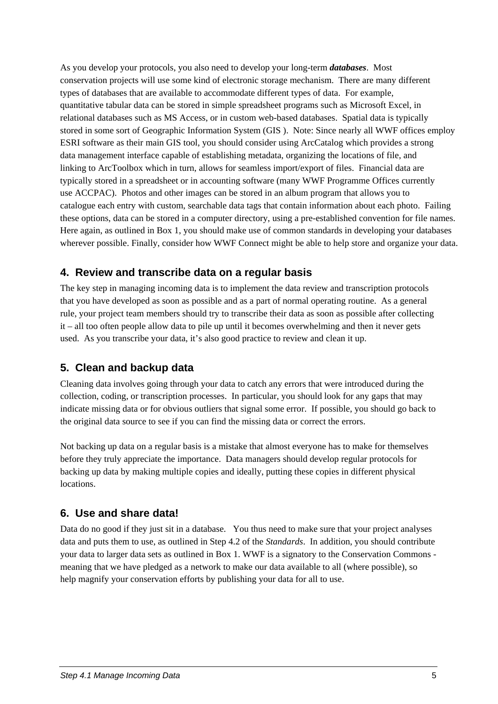<span id="page-6-0"></span>As you develop your protocols, you also need to develop your long-term *databases*. Most conservation projects will use some kind of electronic storage mechanism. There are many different types of databases that are available to accommodate different types of data. For example, quantitative tabular data can be stored in simple spreadsheet programs such as Microsoft Excel, in relational databases such as MS Access, or in custom web-based databases. Spatial data is typically stored in some sort of Geographic Information System (GIS ). Note: Since nearly all WWF offices employ ESRI software as their main GIS tool, you should consider using ArcCatalog which provides a strong data management interface capable of establishing metadata, organizing the locations of file, and linking to ArcToolbox which in turn, allows for seamless import/export of files. Financial data are typically stored in a spreadsheet or in accounting software (many WWF Programme Offices currently use ACCPAC). Photos and other images can be stored in an album program that allows you to catalogue each entry with custom, searchable data tags that contain information about each photo. Failing these options, data can be stored in a computer directory, using a pre-established convention for file names. Here again, as outlined in Box 1, you should make use of common standards in developing your databases wherever possible. Finally, consider how WWF Connect might be able to help store and organize your data.

#### **4. Review and transcribe data on a regular basis**

The key step in managing incoming data is to implement the data review and transcription protocols that you have developed as soon as possible and as a part of normal operating routine. As a general rule, your project team members should try to transcribe their data as soon as possible after collecting it – all too often people allow data to pile up until it becomes overwhelming and then it never gets used. As you transcribe your data, it's also good practice to review and clean it up.

#### **5. Clean and backup data**

Cleaning data involves going through your data to catch any errors that were introduced during the collection, coding, or transcription processes. In particular, you should look for any gaps that may indicate missing data or for obvious outliers that signal some error. If possible, you should go back to the original data source to see if you can find the missing data or correct the errors.

Not backing up data on a regular basis is a mistake that almost everyone has to make for themselves before they truly appreciate the importance. Data managers should develop regular protocols for backing up data by making multiple copies and ideally, putting these copies in different physical locations.

#### **6. Use and share data!**

Data do no good if they just sit in a database. You thus need to make sure that your project analyses data and puts them to use, as outlined in Step 4.2 of the *Standards*. In addition, you should contribute your data to larger data sets as outlined in Box 1. WWF is a signatory to the Conservation Commons meaning that we have pledged as a network to make our data available to all (where possible), so help magnify your conservation efforts by publishing your data for all to use.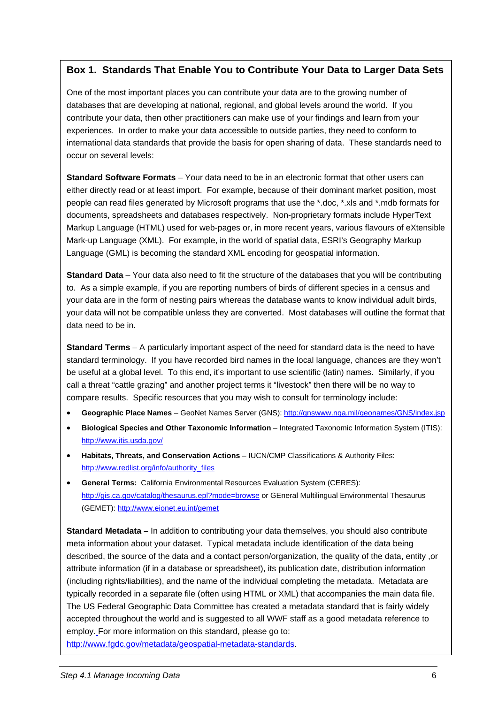#### **Box 1. Standards That Enable You to Contribute Your Data to Larger Data Sets**

One of the most important places you can contribute your data are to the growing number of databases that are developing at national, regional, and global levels around the world. If you contribute your data, then other practitioners can make use of your findings and learn from your experiences. In order to make your data accessible to outside parties, they need to conform to international data standards that provide the basis for open sharing of data. These standards need to occur on several levels:

**Standard Software Formats** – Your data need to be in an electronic format that other users can either directly read or at least import. For example, because of their dominant market position, most people can read files generated by Microsoft programs that use the \*.doc, \*.xls and \*.mdb formats for documents, spreadsheets and databases respectively. Non-proprietary formats include HyperText Markup Language (HTML) used for web-pages or, in more recent years, various flavours of eXtensible Mark-up Language (XML). For example, in the world of spatial data, ESRI's Geography Markup Language (GML) is becoming the standard XML encoding for geospatial information.

**Standard Data** – Your data also need to fit the structure of the databases that you will be contributing to. As a simple example, if you are reporting numbers of birds of different species in a census and your data are in the form of nesting pairs whereas the database wants to know individual adult birds, your data will not be compatible unless they are converted. Most databases will outline the format that data need to be in.

**Standard Terms** – A particularly important aspect of the need for standard data is the need to have standard terminology. If you have recorded bird names in the local language, chances are they won't be useful at a global level. To this end, it's important to use scientific (latin) names. Similarly, if you call a threat "cattle grazing" and another project terms it "livestock" then there will be no way to compare results. Specific resources that you may wish to consult for terminology include:

- **Geographic Place Names** GeoNet Names Server (GNS): <http://gnswww.nga.mil/geonames/GNS/index.jsp>
- **Biological Species and Other Taxonomic Information** Integrated Taxonomic Information System (ITIS): <http://www.itis.usda.gov/>
- **Habitats, Threats, and Conservation Actions** IUCN/CMP Classifications & Authority Files: http://www.redlist.org/info/authority\_files
- **General Terms:** California Environmental Resources Evaluation System (CERES): <http://gis.ca.gov/catalog/thesaurus.epl?mode=browse> or GEneral Multilingual Environmental Thesaurus (GEMET): <http://www.eionet.eu.int/gemet>

**Standard Metadata –** In addition to contributing your data themselves, you should also contribute meta information about your dataset. Typical metadata include identification of the data being described, the source of the data and a contact person/organization, the quality of the data, entity ,or attribute information (if in a database or spreadsheet), its publication date, distribution information (including rights/liabilities), and the name of the individual completing the metadata. Metadata are typically recorded in a separate file (often using HTML or XML) that accompanies the main data file. The US Federal Geographic Data Committee has created a metadata standard that is fairly widely accepted throughout the world and is suggested to all WWF staff as a good metadata reference to employ. For more information on this standard, please go to: <http://www.fgdc.gov/metadata/geospatial-metadata-standards>.